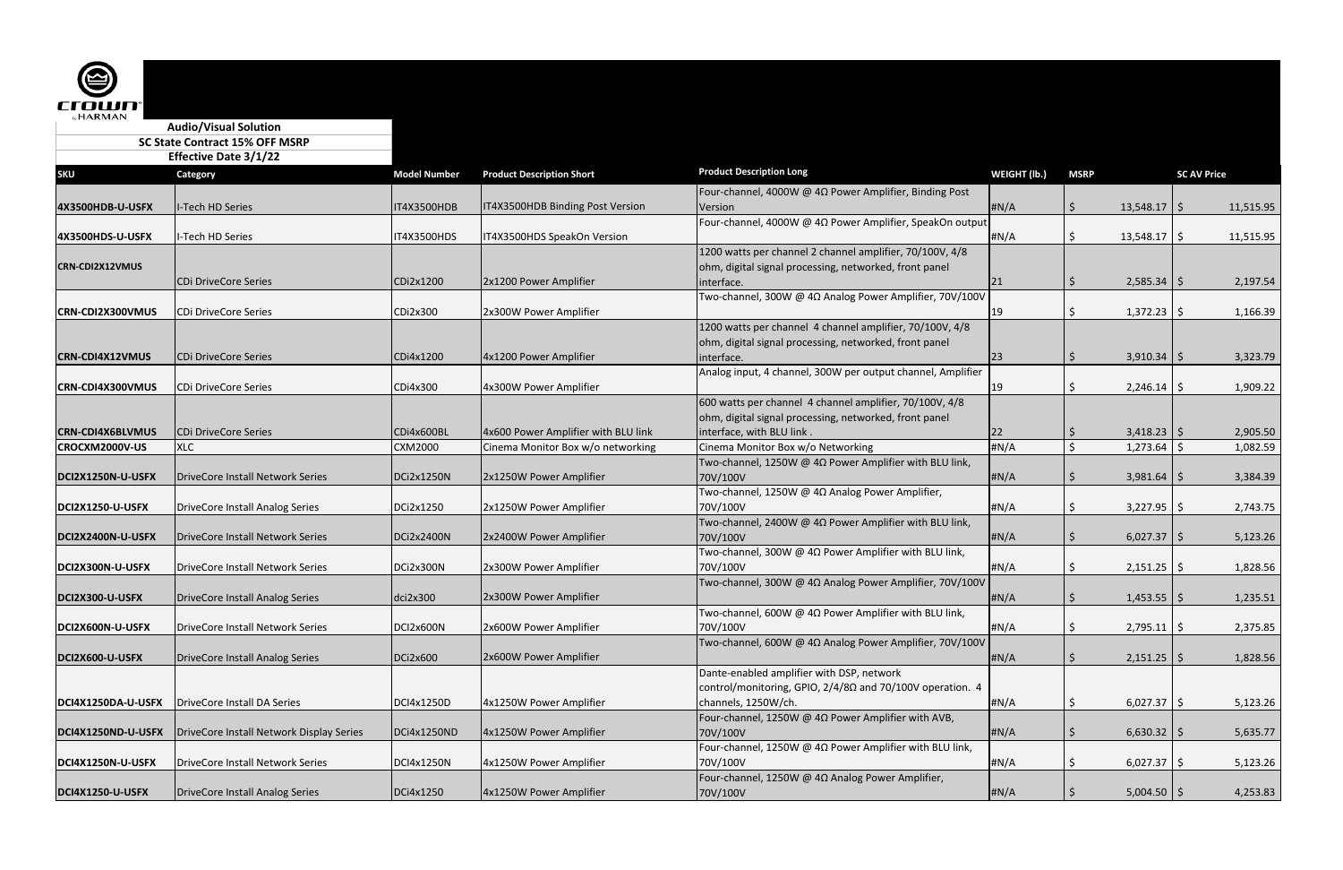| <b>Effective Date 3/1/22</b> |                                          |                     |                                     |                                                                           |              |                     |                  |                    |           |
|------------------------------|------------------------------------------|---------------------|-------------------------------------|---------------------------------------------------------------------------|--------------|---------------------|------------------|--------------------|-----------|
| <b>SKU</b>                   | <b>Category</b>                          | <b>Model Number</b> | <b>Product Description Short</b>    | <b>Product Description Long</b>                                           | WEIGHT (lb.) | <b>MSRP</b>         |                  | <b>SC AV Price</b> |           |
|                              |                                          |                     |                                     | Four-channel, 4000W @ 4Ω Power Amplifier, Binding Post                    |              |                     |                  |                    |           |
| 4X3500HDB-U-USFX             | I-Tech HD Series                         | <b>T4X3500HDB</b>   | IT4X3500HDB Binding Post Version    | Version                                                                   | #N/A         | S.                  | $13,548.17$   \$ |                    | 11,515.95 |
|                              |                                          |                     |                                     | Four-channel, 4000W @ 4Ω Power Amplifier, SpeakOn output                  |              |                     |                  |                    |           |
| 4X3500HDS-U-USFX             | I-Tech HD Series                         | <b>IT4X3500HDS</b>  | IT4X3500HDS SpeakOn Version         |                                                                           | #N/A         | S                   | $13,548.17$ \$   |                    | 11,515.95 |
|                              |                                          |                     |                                     | 1200 watts per channel 2 channel amplifier, 70/100V, 4/8                  |              |                     |                  |                    |           |
| <b>CRN-CDI2X12VMUS</b>       |                                          |                     |                                     | ohm, digital signal processing, networked, front panel                    |              |                     |                  |                    |           |
|                              | CDi DriveCore Series                     | CDi2x1200           | 2x1200 Power Amplifier              | interface.                                                                | 21           | S                   | $2,585.34$   \$  |                    | 2,197.54  |
|                              |                                          |                     |                                     | Two-channel, 300W @ 4Ω Analog Power Amplifier, 70V/100V                   |              |                     |                  |                    |           |
| <b>CRN-CDI2X300VMUS</b>      | CDi DriveCore Series                     | CDi2x300            | 2x300W Power Amplifier              |                                                                           | 19           | <sub>S</sub>        | 1,372.23         | -S                 | 1,166.39  |
|                              |                                          |                     |                                     | 1200 watts per channel 4 channel amplifier, 70/100V, 4/8                  |              |                     |                  |                    |           |
|                              |                                          |                     |                                     | ohm, digital signal processing, networked, front panel                    |              |                     |                  |                    |           |
| <b>CRN-CDI4X12VMUS</b>       | CDi DriveCore Series                     | CDi4x1200           | 4x1200 Power Amplifier              | interface.                                                                | 23           |                     | $3,910.34$   \$  |                    | 3,323.79  |
|                              |                                          |                     |                                     | Analog input, 4 channel, 300W per output channel, Amplifier               |              |                     |                  |                    |           |
| CRN-CDI4X300VMUS             | CDi DriveCore Series                     | CDi4x300            | 4x300W Power Amplifier              |                                                                           | 19           | S                   | 2,246.14         | ∣S.                | 1,909.22  |
|                              |                                          |                     |                                     | 600 watts per channel 4 channel amplifier, 70/100V, 4/8                   |              |                     |                  |                    |           |
|                              |                                          |                     |                                     | ohm, digital signal processing, networked, front panel                    |              |                     |                  |                    |           |
| <b>CRN-CDI4X6BLVMUS</b>      | <b>CDi DriveCore Series</b>              | CDi4x600BL          | 4x600 Power Amplifier with BLU link | interface, with BLU link.                                                 | 22           | -\$                 | $3,418.23$   \$  |                    | 2,905.50  |
| CROCXM2000V-US               | <b>XLC</b>                               | CXM2000             | Cinema Monitor Box w/o networking   | Cinema Monitor Box w/o Networking                                         | #N/A         | $\zeta$             | 1,273.64         |                    | 1,082.59  |
|                              |                                          |                     |                                     | Two-channel, 1250W @ 4 $\Omega$ Power Amplifier with BLU link,            |              |                     |                  |                    |           |
| DCI2X1250N-U-USFX            | DriveCore Install Network Series         | DCi2x1250N          | 2x1250W Power Amplifier             | 70V/100V                                                                  | #N/A         | S                   | 3,981.64         |                    | 3,384.39  |
|                              |                                          |                     |                                     | Two-channel, 1250W @ 4 $\Omega$ Analog Power Amplifier,                   |              |                     |                  |                    |           |
| DCI2X1250-U-USFX             | DriveCore Install Analog Series          | DCi2x1250           | 2x1250W Power Amplifier             | 70V/100V                                                                  | #N/A         | S                   | 3,227.95         |                    | 2,743.75  |
|                              | DriveCore Install Network Series         | DCi2x2400N          |                                     | Two-channel, 2400W @ 4 $\Omega$ Power Amplifier with BLU link,            |              |                     |                  |                    |           |
| DCI2X2400N-U-USFX            |                                          |                     | 2x2400W Power Amplifier             | 70V/100V<br>Two-channel, 300W @ 4 $\Omega$ Power Amplifier with BLU link, | HN/A         | S.                  | 6,027.37         | <u>is</u>          | 5,123.26  |
| DCI2X300N-U-USFX             | DriveCore Install Network Series         | DCi2x300N           | 2x300W Power Amplifier              | 70V/100V                                                                  | #N/A         | S                   | $2,151.25$   \$  |                    | 1,828.56  |
|                              |                                          |                     |                                     | Two-channel, 300W @ 4Ω Analog Power Amplifier, 70V/100V                   |              |                     |                  |                    |           |
| DCI2X300-U-USFX              | DriveCore Install Analog Series          | dci2x300            | 2x300W Power Amplifier              |                                                                           | #N/A         | S                   | $1,453.55$   \$  |                    | 1,235.51  |
|                              |                                          |                     |                                     | Two-channel, 600W @ $4\Omega$ Power Amplifier with BLU link,              |              |                     |                  |                    |           |
| DCI2X600N-U-USFX             | DriveCore Install Network Series         | DCI2x600N           | 2x600W Power Amplifier              | 70V/100V                                                                  | #N/A         |                     | 2,795.11         | l S                | 2,375.85  |
|                              |                                          |                     |                                     | Two-channel, 600W @ 4Ω Analog Power Amplifier, 70V/100V                   |              |                     |                  |                    |           |
| DCI2X600-U-USFX              | DriveCore Install Analog Series          | DCi2x600            | 2x600W Power Amplifier              |                                                                           | #N/A         | $\ddot{\mathsf{S}}$ | $2,151.25$ \$    |                    | 1,828.56  |
|                              |                                          |                     |                                     | Dante-enabled amplifier with DSP, network                                 |              |                     |                  |                    |           |
|                              |                                          |                     |                                     | control/monitoring, GPIO, 2/4/8Ω and 70/100V operation. 4                 |              |                     |                  |                    |           |
| DCI4X1250DA-U-USFX           | DriveCore Install DA Series              | DCI4x1250D          | 4x1250W Power Amplifier             | channels, 1250W/ch.                                                       | #N/A         | \$                  | $6,027.37$ \$    |                    | 5,123.26  |
|                              |                                          |                     |                                     | Four-channel, 1250W @ 4Ω Power Amplifier with AVB,                        |              |                     |                  |                    |           |
| DCI4X1250ND-U-USFX           | DriveCore Install Network Display Series | DCi4x1250ND         | 4x1250W Power Amplifier             | 70V/100V                                                                  | #N/A         | S.                  | $6,630.32$   \$  |                    | 5,635.77  |
|                              |                                          |                     |                                     | Four-channel, 1250W @ 4Ω Power Amplifier with BLU link,                   |              |                     |                  |                    |           |
| DCI4X1250N-U-USFX            | DriveCore Install Network Series         | DCI4x1250N          | 4x1250W Power Amplifier             | 70V/100V                                                                  | #N/A         |                     | $6,027.37$ \$    |                    | 5,123.26  |
|                              |                                          |                     |                                     | Four-channel, 1250W @ 4Ω Analog Power Amplifier,                          |              |                     |                  |                    |           |
| DCI4X1250-U-USFX             | DriveCore Install Analog Series          | DCi4x1250           | 4x1250W Power Amplifier             | 70V/100V                                                                  | #N/A         | \$                  | $5,004.50$   \$  |                    | 4,253.83  |

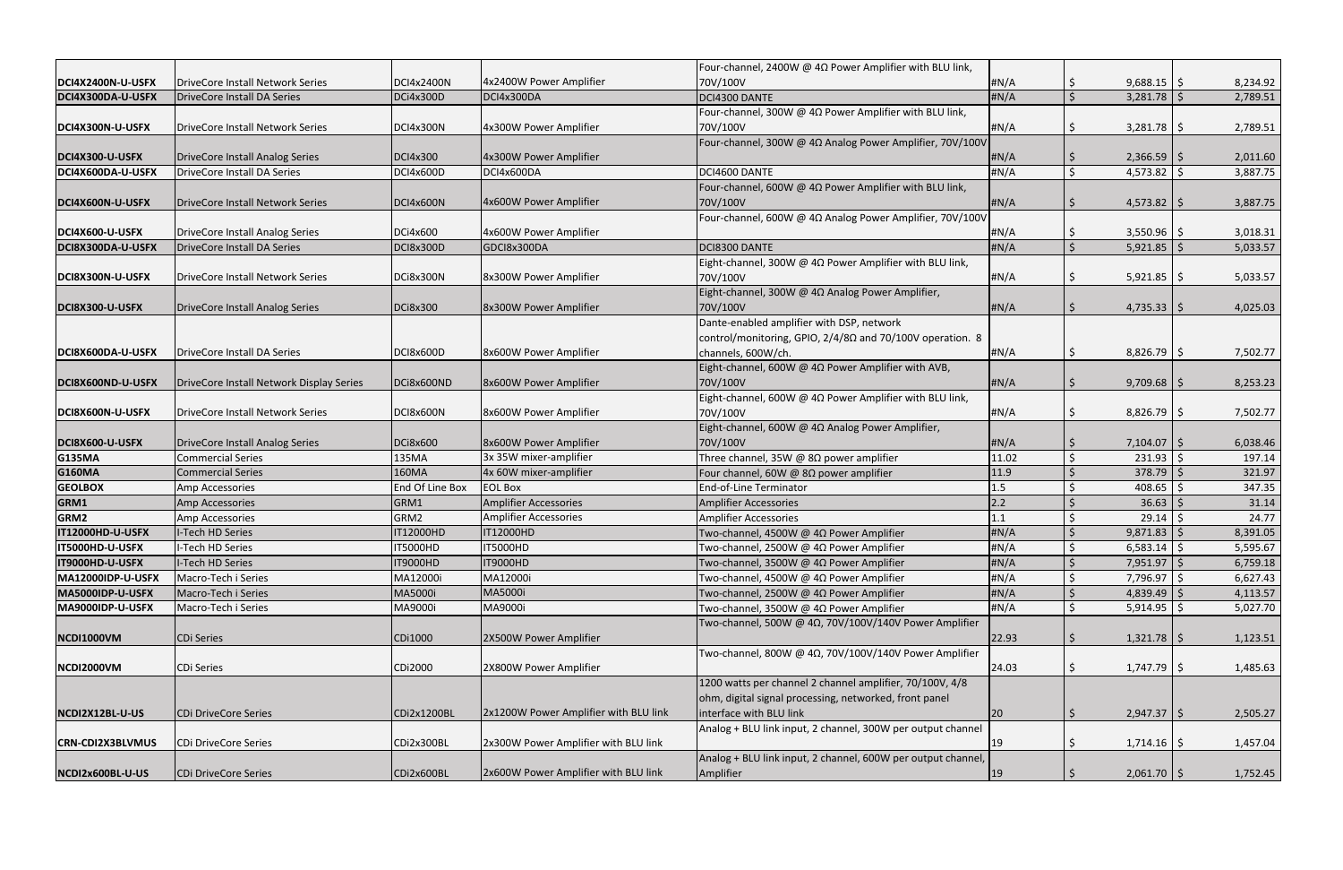|                                        |                                                                 | DCI4x2400N      | 4x2400W Power Amplifier               | Four-channel, 2400W @ $4\Omega$ Power Amplifier with BLU link,<br>70V/100V |              |               |                           |     |                      |
|----------------------------------------|-----------------------------------------------------------------|-----------------|---------------------------------------|----------------------------------------------------------------------------|--------------|---------------|---------------------------|-----|----------------------|
| DCI4X2400N-U-USFX<br>DCI4X300DA-U-USFX | DriveCore Install Network Series<br>DriveCore Install DA Series | DCi4x300D       | DCI4x300DA                            | DCI4300 DANTE                                                              | #N/A<br>#N/A | -Ş<br>$\zeta$ | $9,688.15$ \$<br>3,281.78 |     | 8,234.92<br>2,789.51 |
|                                        |                                                                 |                 |                                       | Four-channel, 300W @ $4\Omega$ Power Amplifier with BLU link,              |              |               |                           |     |                      |
| DCI4X300N-U-USFX                       | DriveCore Install Network Series                                | DCI4x300N       | 4x300W Power Amplifier                | 70V/100V                                                                   | #N/A         | S             | 3,281.78                  | l S | 2,789.51             |
|                                        |                                                                 |                 |                                       | Four-channel, 300W @ 4Ω Analog Power Amplifier, 70V/100V                   |              |               |                           |     |                      |
| DCI4X300-U-USFX                        | DriveCore Install Analog Series                                 | DCI4x300        | 4x300W Power Amplifier                |                                                                            | #N/A         |               | $2,366.59$   \$           |     | 2,011.60             |
| DCI4X600DA-U-USFX                      | DriveCore Install DA Series                                     | DCI4x600D       | DCI4x600DA                            | DCI4600 DANTE                                                              | #N/A         | $\zeta$       | 4,573.82                  |     | 3,887.75             |
|                                        |                                                                 |                 |                                       | Four-channel, 600W @ $4\Omega$ Power Amplifier with BLU link,              |              |               |                           |     |                      |
| DCI4X600N-U-USFX                       | DriveCore Install Network Series                                | DCI4x600N       | 4x600W Power Amplifier                | 70V/100V                                                                   | #N/A         |               | 4,573.82                  |     | 3,887.75             |
|                                        |                                                                 |                 |                                       | Four-channel, 600W @ 4Ω Analog Power Amplifier, 70V/100V                   |              |               |                           |     |                      |
| DCI4X600-U-USFX                        | DriveCore Install Analog Series                                 | DCi4x600        | 4x600W Power Amplifier                |                                                                            | #N/A         | S             | 3,550.96                  |     | 3,018.31             |
| DCI8X300DA-U-USFX                      | DriveCore Install DA Series                                     | DCI8x300D       | GDCI8x300DA                           | DCI8300 DANTE                                                              | #N/A         | $\mathsf{S}$  | 5,921.85                  |     | 5,033.57             |
|                                        |                                                                 |                 |                                       | Eight-channel, 300W @ 4Ω Power Amplifier with BLU link,                    |              |               |                           |     |                      |
| DCI8X300N-U-USFX                       | DriveCore Install Network Series                                | DCi8x300N       | 8x300W Power Amplifier                | 70V/100V                                                                   | #N/A         | S             | $5,921.85$   \$           |     | 5,033.57             |
|                                        |                                                                 |                 |                                       | Eight-channel, 300W @ 4Ω Analog Power Amplifier,                           |              |               |                           |     |                      |
| DCI8X300-U-USFX                        | DriveCore Install Analog Series                                 | <b>DCi8x300</b> | 8x300W Power Amplifier                | 70V/100V                                                                   | #N/A         | S.            | $4,735.33$   \$           |     | 4,025.03             |
|                                        |                                                                 |                 |                                       | Dante-enabled amplifier with DSP, network                                  |              |               |                           |     |                      |
|                                        |                                                                 |                 |                                       | control/monitoring, GPIO, 2/4/8Ω and 70/100V operation. 8                  |              |               |                           |     |                      |
| DCI8X600DA-U-USFX                      | DriveCore Install DA Series                                     | DCI8x600D       | 8x600W Power Amplifier                | channels, 600W/ch.                                                         | #N/A         | -Ş            | $8,826.79$ \$             |     | 7,502.77             |
|                                        |                                                                 |                 |                                       | Eight-channel, 600W @ 4Ω Power Amplifier with AVB,                         |              |               |                           |     |                      |
| DCI8X600ND-U-USFX                      | DriveCore Install Network Display Series                        | DCi8x600ND      | 8x600W Power Amplifier                | 70V/100V                                                                   | #N/A         |               | 9,709.68                  |     | 8,253.23             |
|                                        |                                                                 |                 |                                       | Eight-channel, 600W @ $4\Omega$ Power Amplifier with BLU link,             |              |               |                           |     |                      |
| DCI8X600N-U-USFX                       | DriveCore Install Network Series                                | DCI8x600N       | 8x600W Power Amplifier                | 70V/100V                                                                   | #N/A         | \$.           | $8,826.79$ \$             |     | 7,502.77             |
|                                        |                                                                 |                 |                                       | Eight-channel, 600W @ 4Ω Analog Power Amplifier,                           |              |               |                           |     |                      |
| DCI8X600-U-USFX                        | DriveCore Install Analog Series                                 | DCi8x600        | 8x600W Power Amplifier                | 70V/100V                                                                   | #N/A         | S.            | 7,104.07                  |     | 6,038.46             |
| <b>G135MA</b>                          | <b>Commercial Series</b>                                        | 135MA           | 3x 35W mixer-amplifier                | Three channel, 35W @ 8 $\Omega$ power amplifier                            | 11.02        |               | 231.93                    |     | 197.14               |
| <b>G160MA</b>                          | <b>Commercial Series</b>                                        | 160MA           | 4x 60W mixer-amplifier                | Four channel, 60W @ 8 $\Omega$ power amplifier                             | 11.9         |               | 378.79                    |     | 321.97               |
| <b>GEOLBOX</b>                         | Amp Accessories                                                 | End Of Line Box | <b>EOL Box</b>                        | End-of-Line Terminator                                                     | 1.5          |               | 408.65                    |     | 347.35               |
| GRM1                                   | Amp Accessories                                                 | GRM1            | Amplifier Accessories                 | <b>Amplifier Accessories</b>                                               | 2.2          |               | 36.63                     |     | 31.14                |
| GRM2                                   | Amp Accessories                                                 | GRM2            | Amplifier Accessories                 | <b>Amplifier Accessories</b>                                               | 1.1          |               | 29.14                     |     | 24.77                |
| IT12000HD-U-USFX                       | -Tech HD Series                                                 | T12000HD        | IT12000HD                             | Two-channel, 4500W @ 4 $\Omega$ Power Amplifier                            | #N/A         |               | 9,871.83                  |     | 8,391.05             |
| IT5000HD-U-USFX                        | I-Tech HD Series                                                | <b>IT5000HD</b> | <b>IT5000HD</b>                       | Two-channel, 2500W @ 4Ω Power Amplifier                                    | # $N/A$      | $\zeta$       | 6,583.14                  |     | 5,595.67             |
| IT9000HD-U-USFX                        | I-Tech HD Series                                                | <b>IT9000HD</b> | <b>IT9000HD</b>                       | Two-channel, 3500W @ 4Ω Power Amplifier                                    | #N/A         | $\zeta$       | 7,951.97                  | l S | 6,759.18             |
| MA12000IDP-U-USFX                      | Macro-Tech i Series                                             | MA12000i        | MA12000i                              | Two-channel, 4500W @ 4 $\Omega$ Power Amplifier                            | #N/A         |               | 7,796.97                  |     | 6,627.43             |
| MA5000IDP-U-USFX                       | Macro-Tech i Series                                             | MA5000i         | <b>MA5000i</b>                        | Two-channel, 2500W @ 4Ω Power Amplifier                                    | #N/A         | -\$           | 4,839.49                  |     | 4,113.57             |
| MA9000IDP-U-USFX                       | Macro-Tech i Series                                             | MA9000i         | MA9000i                               | Two-channel, 3500W @ 4Ω Power Amplifier                                    | #N/A         | \$            | 5,914.95                  |     | 5,027.70             |
|                                        |                                                                 |                 |                                       | Two-channel, 500W @ 4Ω, 70V/100V/140V Power Amplifier                      |              |               |                           |     |                      |
| NCDI1000VM                             | CDi Series                                                      | CDi1000         | 2X500W Power Amplifier                |                                                                            | 22.93        |               | $1,321.78$   \$           |     | 1,123.51             |
|                                        |                                                                 |                 |                                       | Two-channel, 800W @ 4Ω, 70V/100V/140V Power Amplifier                      |              |               |                           |     |                      |
| NCDI2000VM                             | <b>CDi Series</b>                                               | CDi2000         | 2X800W Power Amplifier                |                                                                            | 24.03        | <sub>S</sub>  | $1,747.79$ \$             |     | 1,485.63             |
|                                        |                                                                 |                 |                                       | 1200 watts per channel 2 channel amplifier, 70/100V, 4/8                   |              |               |                           |     |                      |
|                                        |                                                                 |                 |                                       | ohm, digital signal processing, networked, front panel                     |              |               |                           |     |                      |
| NCDI2X12BL-U-US                        | CDi DriveCore Series                                            | CDi2x1200BL     | 2x1200W Power Amplifier with BLU link | interface with BLU link                                                    | 20           | $\sqrt{5}$    | $2,947.37$ \$             |     | 2,505.27             |
|                                        |                                                                 |                 |                                       | Analog + BLU link input, 2 channel, 300W per output channel                |              |               |                           |     |                      |
| <b>CRN-CDI2X3BLVMUS</b>                | CDi DriveCore Series                                            | CDi2x300BL      | 2x300W Power Amplifier with BLU link  |                                                                            | 19           |               | 1,714.16                  | S   | 1,457.04             |
|                                        |                                                                 |                 |                                       | Analog + BLU link input, 2 channel, 600W per output channel,               |              |               |                           |     |                      |
| NCDI2x600BL-U-US                       | CDi DriveCore Series                                            | CDi2x600BL      | 2x600W Power Amplifier with BLU link  | Amplifier                                                                  | 19           | \$            | $2,061.70$   \$           |     | 1,752.45             |